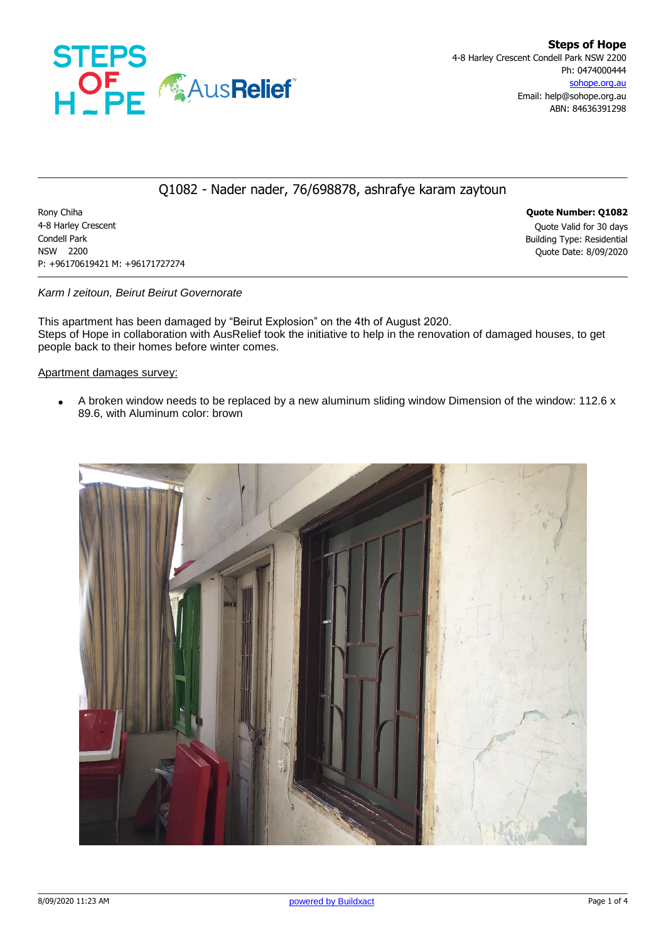

## Q1082 - Nader nader, 76/698878, ashrafye karam zaytoun

Rony Chiha **Quote Number: Q1082** 4-8 Harley Crescent Quote Valid for 30 days Condell Park Building Type: Residential NSW 2200 Quote Date: 8/09/2020 P: +96170619421 M: +96171727274

*Karm l zeitoun, Beirut Beirut Governorate*

This apartment has been damaged by "Beirut Explosion" on the 4th of August 2020. Steps of Hope in collaboration with AusRelief took the initiative to help in the renovation of damaged houses, to get people back to their homes before winter comes.

Apartment damages survey:

A broken window needs to be replaced by a new aluminum sliding window Dimension of the window: 112.6  $\times$ 89.6, with Aluminum color: brown

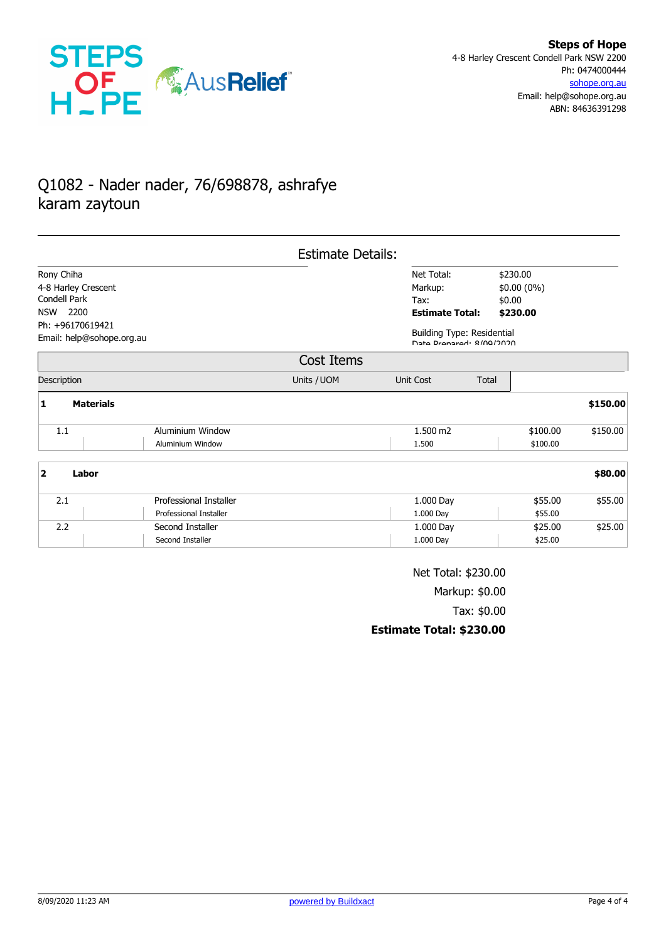

## Q1082 - Nader nader, 76/698878, ashrafye karam zaytoun

|                                               |                  |                        | <b>Estimate Details:</b> |                        |                                                               |              |          |
|-----------------------------------------------|------------------|------------------------|--------------------------|------------------------|---------------------------------------------------------------|--------------|----------|
| Rony Chiha                                    |                  |                        |                          | Net Total:             |                                                               | \$230.00     |          |
| 4-8 Harley Crescent                           |                  |                        |                          | Markup:                |                                                               | $$0.00(0\%)$ |          |
| Condell Park                                  |                  |                        |                          | Tax:                   |                                                               | \$0.00       |          |
| 2200<br>NSW                                   |                  |                        |                          | <b>Estimate Total:</b> |                                                               | \$230.00     |          |
| Ph: +96170619421<br>Email: help@sohope.org.au |                  |                        |                          |                        | <b>Building Type: Residential</b><br>Date Prepared: 8/08/2020 |              |          |
|                                               |                  |                        | Cost Items               |                        |                                                               |              |          |
| Description                                   |                  |                        | Units / UOM              | Unit Cost              | Total                                                         |              |          |
| $\mathbf{1}$                                  | <b>Materials</b> |                        |                          |                        |                                                               |              | \$150.00 |
| 1.1                                           |                  | Aluminium Window       |                          | 1.500 m2               |                                                               | \$100.00     | \$150.00 |
|                                               |                  | Aluminium Window       |                          | 1.500                  |                                                               | \$100.00     |          |
| 2                                             | Labor            |                        |                          |                        |                                                               |              | \$80.00  |
| 2.1                                           |                  | Professional Installer |                          | 1.000 Day              |                                                               | \$55.00      | \$55.00  |
|                                               |                  | Professional Installer |                          | 1.000 Day              |                                                               | \$55.00      |          |
| 2.2                                           |                  | Second Installer       |                          | 1.000 Day              |                                                               | \$25.00      | \$25.00  |
|                                               |                  | Second Installer       |                          | 1.000 Day              |                                                               | \$25.00      |          |

Net Total: \$230.00 Markup: \$0.00 Tax: \$0.00 **Estimate Total: \$230.00**